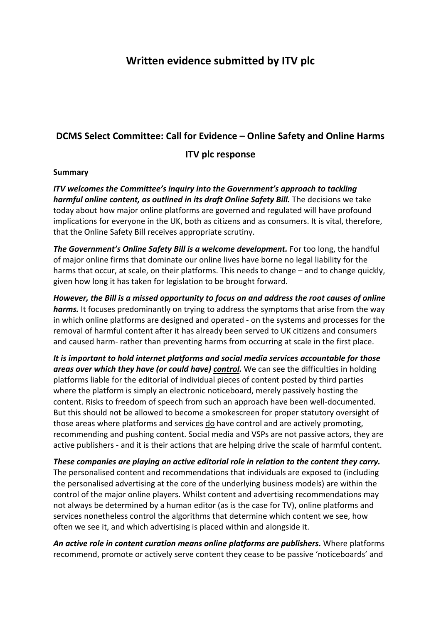# **Written evidence submitted by ITV plc**

# **DCMS Select Committee: Call for Evidence – Online Safety and Online Harms**

#### **ITV plc response**

#### **Summary**

*ITV welcomes the Committee's inquiry into the Government's approach to tackling harmful online content, as outlined in its draft Online Safety Bill.* The decisions we take today about how major online platforms are governed and regulated will have profound implications for everyone in the UK, both as citizens and as consumers. It is vital, therefore, that the Online Safety Bill receives appropriate scrutiny.

*The Government's Online Safety Bill is a welcome development.* For too long, the handful of major online firms that dominate our online lives have borne no legal liability for the harms that occur, at scale, on their platforms. This needs to change – and to change quickly, given how long it has taken for legislation to be brought forward.

*However, the Bill is a missed opportunity to focus on and address the root causes of online harms.* It focuses predominantly on trying to address the symptoms that arise from the way in which online platforms are designed and operated - on the systems and processes for the removal of harmful content after it has already been served to UK citizens and consumers and caused harm- rather than preventing harms from occurring at scale in the first place.

*It is important to hold internet platforms and social media services accountable for those areas over which they have (or could have) control.* We can see the difficulties in holding platforms liable for the editorial of individual pieces of content posted by third parties where the platform is simply an electronic noticeboard, merely passively hosting the content. Risks to freedom of speech from such an approach have been well-documented. But this should not be allowed to become a smokescreen for proper statutory oversight of those areas where platforms and services do have control and are actively promoting, recommending and pushing content. Social media and VSPs are not passive actors, they are active publishers - and it is their actions that are helping drive the scale of harmful content.

*These companies are playing an active editorial role in relation to the content they carry.* The personalised content and recommendations that individuals are exposed to (including the personalised advertising at the core of the underlying business models) are within the control of the major online players. Whilst content and advertising recommendations may not always be determined by a human editor (as is the case for TV), online platforms and services nonetheless control the algorithms that determine which content we see, how often we see it, and which advertising is placed within and alongside it.

*An active role in content curation means online platforms are publishers.* Where platforms recommend, promote or actively serve content they cease to be passive 'noticeboards' and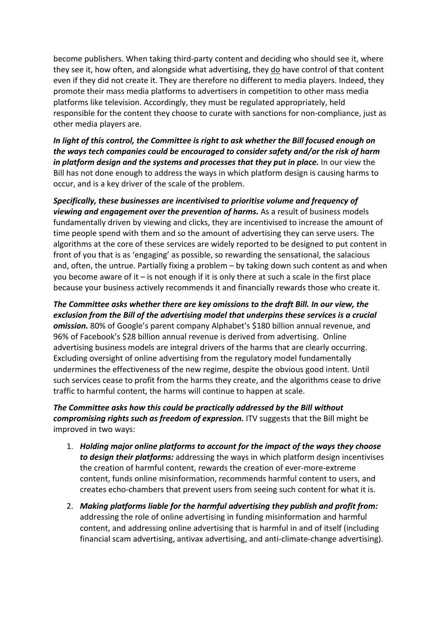become publishers. When taking third-party content and deciding who should see it, where they see it, how often, and alongside what advertising, they do have control of that content even if they did not create it. They are therefore no different to media players. Indeed, they promote their mass media platforms to advertisers in competition to other mass media platforms like television. Accordingly, they must be regulated appropriately, held responsible for the content they choose to curate with sanctions for non-compliance, just as other media players are.

*In light of this control, the Committee is right to ask whether the Bill focused enough on the ways tech companies could be encouraged to consider safety and/or the risk of harm in platform design and the systems and processes that they put in place.* In our view the Bill has not done enough to address the ways in which platform design is causing harms to occur, and is a key driver of the scale of the problem.

*Specifically, these businesses are incentivised to prioritise volume and frequency of viewing and engagement over the prevention of harms.* As a result of business models fundamentally driven by viewing and clicks, they are incentivised to increase the amount of time people spend with them and so the amount of advertising they can serve users. The algorithms at the core of these services are widely reported to be designed to put content in front of you that is as 'engaging' as possible, so rewarding the sensational, the salacious and, often, the untrue. Partially fixing a problem – by taking down such content as and when you become aware of it – is not enough if it is only there at such a scale in the first place because your business actively recommends it and financially rewards those who create it.

*The Committee asks whether there are key omissions to the draft Bill. In our view, the exclusion from the Bill of the advertising model that underpins these services is a crucial omission.* 80% of Google's parent company Alphabet's \$180 billion annual revenue, and 96% of Facebook's \$28 billion annual revenue is derived from advertising. Online advertising business models are integral drivers of the harms that are clearly occurring. Excluding oversight of online advertising from the regulatory model fundamentally undermines the effectiveness of the new regime, despite the obvious good intent. Until such services cease to profit from the harms they create, and the algorithms cease to drive traffic to harmful content, the harms will continue to happen at scale.

*The Committee asks how this could be practically addressed by the Bill without compromising rights such as freedom of expression.* ITV suggests that the Bill might be improved in two ways:

- 1. *Holding major online platforms to account for the impact of the ways they choose to design their platforms:* addressing the ways in which platform design incentivises the creation of harmful content, rewards the creation of ever-more-extreme content, funds online misinformation, recommends harmful content to users, and creates echo-chambers that prevent users from seeing such content for what it is.
- 2. *Making platforms liable for the harmful advertising they publish and profit from:* addressing the role of online advertising in funding misinformation and harmful content, and addressing online advertising that is harmful in and of itself (including financial scam advertising, antivax advertising, and anti-climate-change advertising).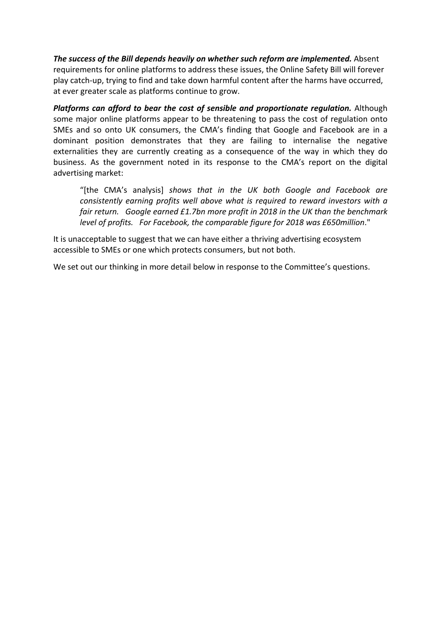*The success of the Bill depends heavily on whether such reform are implemented.* Absent requirements for online platforms to address these issues, the Online Safety Bill will forever play catch-up, trying to find and take down harmful content after the harms have occurred, at ever greater scale as platforms continue to grow.

*Platforms can afford to bear the cost of sensible and proportionate regulation.* Although some major online platforms appear to be threatening to pass the cost of regulation onto SMEs and so onto UK consumers, the CMA's finding that Google and Facebook are in a dominant position demonstrates that they are failing to internalise the negative externalities they are currently creating as a consequence of the way in which they do business. As the government noted in its response to the CMA's report on the digital advertising market:

"[the CMA's analysis] *shows that in the UK both Google and Facebook are consistently earning profits well above what is required to reward investors with a fair return. Google earned £1.7bn more profit in 2018 in the UK than the benchmark level of profits. For Facebook, the comparable figure for 2018 was £650million*."

It is unacceptable to suggest that we can have either a thriving advertising ecosystem accessible to SMEs or one which protects consumers, but not both.

We set out our thinking in more detail below in response to the Committee's questions.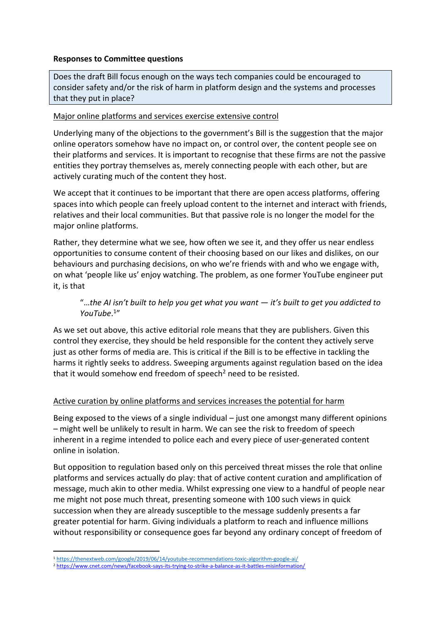#### **Responses to Committee questions**

Does the draft Bill focus enough on the ways tech companies could be encouraged to consider safety and/or the risk of harm in platform design and the systems and processes that they put in place?

#### Major online platforms and services exercise extensive control

Underlying many of the objections to the government's Bill is the suggestion that the major online operators somehow have no impact on, or control over, the content people see on their platforms and services. It is important to recognise that these firms are not the passive entities they portray themselves as, merely connecting people with each other, but are actively curating much of the content they host.

We accept that it continues to be important that there are open access platforms, offering spaces into which people can freely upload content to the internet and interact with friends, relatives and their local communities. But that passive role is no longer the model for the major online platforms.

Rather, they determine what we see, how often we see it, and they offer us near endless opportunities to consume content of their choosing based on our likes and dislikes, on our behaviours and purchasing decisions, on who we're friends with and who we engage with, on what 'people like us' enjoy watching. The problem, as one former YouTube engineer put it, is that

# "…*the AI isn't built to help you get what you want — it's built to get you addicted to YouTube*. 1"

As we set out above, this active editorial role means that they are publishers. Given this control they exercise, they should be held responsible for the content they actively serve just as other forms of media are. This is critical if the Bill is to be effective in tackling the harms it rightly seeks to address. Sweeping arguments against regulation based on the idea that it would somehow end freedom of speech<sup>2</sup> need to be resisted.

### Active curation by online platforms and services increases the potential for harm

Being exposed to the views of a single individual – just one amongst many different opinions – might well be unlikely to result in harm. We can see the risk to freedom of speech inherent in a regime intended to police each and every piece of user-generated content online in isolation.

But opposition to regulation based only on this perceived threat misses the role that online platforms and services actually do play: that of active content curation and amplification of message, much akin to other media. Whilst expressing one view to a handful of people near me might not pose much threat, presenting someone with 100 such views in quick succession when they are already susceptible to the message suddenly presents a far greater potential for harm. Giving individuals a platform to reach and influence millions without responsibility or consequence goes far beyond any ordinary concept of freedom of

<sup>1</sup> <https://thenextweb.com/google/2019/06/14/youtube-recommendations-toxic-algorithm-google-ai/>

<sup>2</sup> <https://www.cnet.com/news/facebook-says-its-trying-to-strike-a-balance-as-it-battles-misinformation/>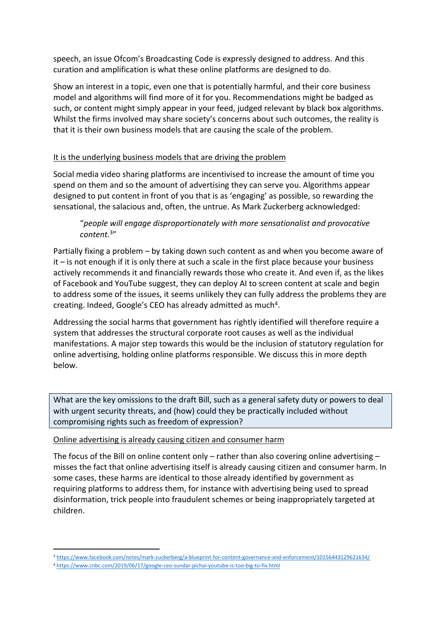speech, an issue Ofcom's Broadcasting Code is expressly designed to address. And this curation and amplification is what these online platforms are designed to do.

Show an interest in a topic, even one that is potentially harmful, and their core business model and algorithms will find more of it for you. Recommendations might be badged as such, or content might simply appear in your feed, judged relevant by black box algorithms. Whilst the firms involved may share society's concerns about such outcomes, the reality is that it is their own business models that are causing the scale of the problem.

### It is the underlying business models that are driving the problem

Social media video sharing platforms are incentivised to increase the amount of time you spend on them and so the amount of advertising they can serve you. Algorithms appear designed to put content in front of you that is as 'engaging' as possible, so rewarding the sensational, the salacious and, often, the untrue. As Mark Zuckerberg acknowledged:

# "*people will engage disproportionately with more sensationalist and provocative content*. 3"

Partially fixing a problem – by taking down such content as and when you become aware of  $it -$  is not enough if it is only there at such a scale in the first place because your business actively recommends it and financially rewards those who create it. And even if, as the likes of Facebook and YouTube suggest, they can deploy AI to screen content at scale and begin to address some of the issues, it seems unlikely they can fully address the problems they are creating. Indeed, Google's CEO has already admitted as much<sup>4</sup>.

Addressing the social harms that government has rightly identified will therefore require a system that addresses the structural corporate root causes as well as the individual manifestations. A major step towards this would be the inclusion of statutory regulation for online advertising, holding online platforms responsible. We discuss this in more depth below.

What are the key omissions to the draft Bill, such as a general safety duty or powers to deal with urgent security threats, and (how) could they be practically included without compromising rights such as freedom of expression?

### Online advertising is already causing citizen and consumer harm

The focus of the Bill on online content only – rather than also covering online advertising – misses the fact that online advertising itself is already causing citizen and consumer harm. In some cases, these harms are identical to those already identified by government as requiring platforms to address them, for instance with advertising being used to spread disinformation, trick people into fraudulent schemes or being inappropriately targeted at children.

<sup>3</sup> <https://www.facebook.com/notes/mark-zuckerberg/a-blueprint-for-content-governance-and-enforcement/10156443129621634/>

<sup>4</sup> <https://www.cnbc.com/2019/06/17/google-ceo-sundar-pichai-youtube-is-too-big-to-fix.html>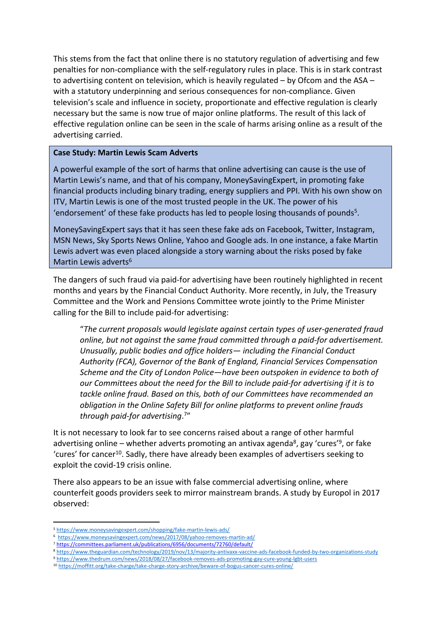This stems from the fact that online there is no statutory regulation of advertising and few penalties for non-compliance with the self-regulatory rules in place. This is in stark contrast to advertising content on television, which is heavily regulated – by Ofcom and the ASA – with a statutory underpinning and serious consequences for non-compliance. Given television's scale and influence in society, proportionate and effective regulation is clearly necessary but the same is now true of major online platforms. The result of this lack of effective regulation online can be seen in the scale of harms arising online as a result of the advertising carried.

#### **Case Study: Martin Lewis Scam Adverts**

A powerful example of the sort of harms that online advertising can cause is the use of Martin Lewis's name, and that of his company, MoneySavingExpert, in promoting fake financial products including binary trading, energy suppliers and PPI. With his own show on ITV, Martin Lewis is one of the most trusted people in the UK. The power of his 'endorsement' of these fake products has led to people losing thousands of pounds<sup>5</sup>.

MoneySavingExpert says that it has seen these fake ads on Facebook, Twitter, Instagram, MSN News, Sky Sports News Online, Yahoo and Google ads. In one instance, a fake Martin Lewis advert was even placed alongside a story warning about the risks posed by fake Martin Lewis adverts<sup>6</sup>

The dangers of such fraud via paid-for advertising have been routinely highlighted in recent months and years by the Financial Conduct Authority. More recently, in July, the Treasury Committee and the Work and Pensions Committee wrote jointly to the Prime Minister calling for the Bill to include paid-for advertising:

"*The current proposals would legislate against certain types of user-generated fraud online, but not against the same fraud committed through a paid-for advertisement. Unusually, public bodies and office holders— including the Financial Conduct Authority (FCA), Governor of the Bank of England, Financial Services Compensation Scheme and the City of London Police—have been outspoken in evidence to both of our Committees about the need for the Bill to include paid-for advertising if it is to tackle online fraud. Based on this, both of our Committees have recommended an obligation in the Online Safety Bill for online platforms to prevent online frauds through paid-for advertising*. 7"

It is not necessary to look far to see concerns raised about a range of other harmful advertising online – whether adverts promoting an antivax agenda<sup>8</sup>, gay 'cures'<sup>9</sup>, or fake 'cures' for cancer<sup>10</sup>. Sadly, there have already been examples of advertisers seeking to exploit the covid-19 crisis online.

There also appears to be an issue with false commercial advertising online, where counterfeit goods providers seek to mirror mainstream brands. A study by Europol in 2017 observed:

- <sup>8</sup> <https://www.theguardian.com/technology/2019/nov/13/majority-antivaxx-vaccine-ads-facebook-funded-by-two-organizations-study>
- <sup>9</sup> <https://www.thedrum.com/news/2018/08/27/facebook-removes-ads-promoting-gay-cure-young-lgbt-users>

<sup>5</sup> <https://www.moneysavingexpert.com/shopping/fake-martin-lewis-ads/>

<sup>6</sup> <https://www.moneysavingexpert.com/news/2017/08/yahoo-removes-martin-ad/>

<sup>7</sup> <https://committees.parliament.uk/publications/6956/documents/72760/default/>

<sup>10</sup> <https://moffitt.org/take-charge/take-charge-story-archive/beware-of-bogus-cancer-cures-online/>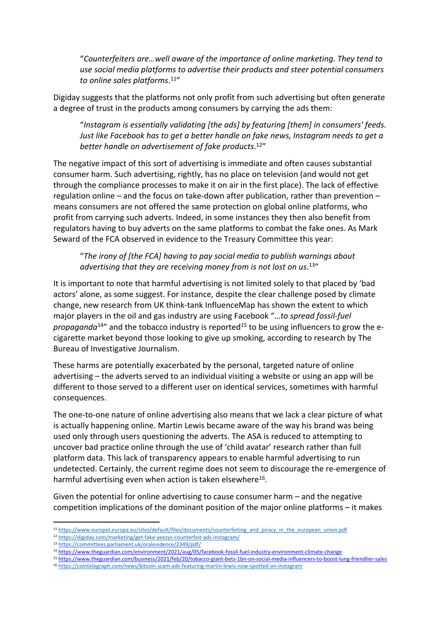"*Counterfeiters are…well aware of the importance of online marketing. They tend to use social media platforms to advertise their products and steer potential consumers to online sales platforms*. <sup>11</sup>"

Digiday suggests that the platforms not only profit from such advertising but often generate a degree of trust in the products among consumers by carrying the ads them:

"*Instagram is essentially validating [the ads] by featuring [them] in consumers' feeds. Just like Facebook has to get a better handle on fake news, Instagram needs to get a better handle on advertisement of fake products*. <sup>12</sup>"

The negative impact of this sort of advertising is immediate and often causes substantial consumer harm. Such advertising, rightly, has no place on television (and would not get through the compliance processes to make it on air in the first place). The lack of effective regulation online – and the focus on take-down after publication, rather than prevention – means consumers are not offered the same protection on global online platforms, who profit from carrying such adverts. Indeed, in some instances they then also benefit from regulators having to buy adverts on the same platforms to combat the fake ones. As Mark Seward of the FCA observed in evidence to the Treasury Committee this year:

"*The irony of [the FCA] having to pay social media to publish warnings about advertising that they are receiving money from is not lost on us*. <sup>13</sup>"

It is important to note that harmful advertising is not limited solely to that placed by 'bad actors' alone, as some suggest. For instance, despite the clear challenge posed by climate change, new research from UK think-tank InfluenceMap has shown the extent to which major players in the oil and gas industry are using Facebook "…*to spread fossil-fuel propaganda*<sup>14"</sup> and the tobacco industry is reported<sup>15</sup> to be using influencers to grow the ecigarette market beyond those looking to give up smoking, according to research by The Bureau of Investigative Journalism.

These harms are potentially exacerbated by the personal, targeted nature of online advertising – the adverts served to an individual visiting a website or using an app will be different to those served to a different user on identical services, sometimes with harmful consequences.

The one-to-one nature of online advertising also means that we lack a clear picture of what is actually happening online. Martin Lewis became aware of the way his brand was being used only through users questioning the adverts. The ASA is reduced to attempting to uncover bad practice online through the use of 'child avatar' research rather than full platform data. This lack of transparency appears to enable harmful advertising to run undetected. Certainly, the current regime does not seem to discourage the re-emergence of harmful advertising even when action is taken elsewhere<sup>16</sup>.

Given the potential for online advertising to cause consumer harm – and the negative competition implications of the dominant position of the major online platforms – it makes

<sup>11</sup> [https://www.europol.europa.eu/sites/default/files/documents/counterfeiting\\_and\\_piracy\\_in\\_the\\_european\\_union.pdf](https://www.europol.europa.eu/sites/default/files/documents/counterfeiting_and_piracy_in_the_european_union.pdf)

<sup>12</sup> <https://digiday.com/marketing/get-fake-yeezys-counterfeit-ads-instagram/>

<sup>13</sup> <https://committees.parliament.uk/oralevidence/2349/pdf/>

<sup>14</sup> <https://www.theguardian.com/environment/2021/aug/05/facebook-fossil-fuel-industry-environment-climate-change>

<sup>15</sup> https://www.theguardian.com/business/2021/feb/20/tobacco-giant-bets-1bn-on-social-media-influencers-to-boost-lung-friendlier-sales

<sup>16</sup> <https://cointelegraph.com/news/bitcoin-scam-ads-featuring-martin-lewis-now-spotted-on-instagram>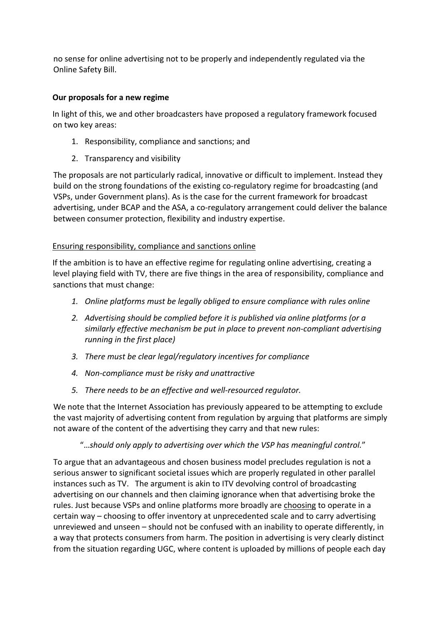no sense for online advertising not to be properly and independently regulated via the Online Safety Bill.

# **Our proposals for a new regime**

In light of this, we and other broadcasters have proposed a regulatory framework focused on two key areas:

- 1. Responsibility, compliance and sanctions; and
- 2. Transparency and visibility

The proposals are not particularly radical, innovative or difficult to implement. Instead they build on the strong foundations of the existing co-regulatory regime for broadcasting (and VSPs, under Government plans). As is the case for the current framework for broadcast advertising, under BCAP and the ASA, a co-regulatory arrangement could deliver the balance between consumer protection, flexibility and industry expertise.

# Ensuring responsibility, compliance and sanctions online

If the ambition is to have an effective regime for regulating online advertising, creating a level playing field with TV, there are five things in the area of responsibility, compliance and sanctions that must change:

- *1. Online platforms must be legally obliged to ensure compliance with rules online*
- *2. Advertising should be complied before it is published via online platforms (or a similarly effective mechanism be put in place to prevent non-compliant advertising running in the first place)*
- *3. There must be clear legal/regulatory incentives for compliance*
- *4. Non-compliance must be risky and unattractive*
- *5. There needs to be an effective and well-resourced regulator.*

We note that the Internet Association has previously appeared to be attempting to exclude the vast majority of advertising content from regulation by arguing that platforms are simply not aware of the content of the advertising they carry and that new rules:

"…*should only apply to advertising over which the VSP has meaningful control.*"

To argue that an advantageous and chosen business model precludes regulation is not a serious answer to significant societal issues which are properly regulated in other parallel instances such as TV. The argument is akin to ITV devolving control of broadcasting advertising on our channels and then claiming ignorance when that advertising broke the rules. Just because VSPs and online platforms more broadly are choosing to operate in a certain way – choosing to offer inventory at unprecedented scale and to carry advertising unreviewed and unseen – should not be confused with an inability to operate differently, in a way that protects consumers from harm. The position in advertising is very clearly distinct from the situation regarding UGC, where content is uploaded by millions of people each day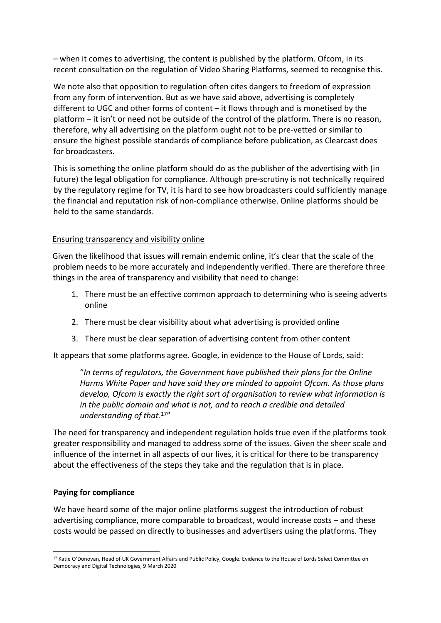– when it comes to advertising, the content is published by the platform. Ofcom, in its recent consultation on the regulation of Video Sharing Platforms, seemed to recognise this.

We note also that opposition to regulation often cites dangers to freedom of expression from any form of intervention. But as we have said above, advertising is completely different to UGC and other forms of content – it flows through and is monetised by the platform – it isn't or need not be outside of the control of the platform. There is no reason, therefore, why all advertising on the platform ought not to be pre-vetted or similar to ensure the highest possible standards of compliance before publication, as Clearcast does for broadcasters.

This is something the online platform should do as the publisher of the advertising with (in future) the legal obligation for compliance. Although pre-scrutiny is not technically required by the regulatory regime for TV, it is hard to see how broadcasters could sufficiently manage the financial and reputation risk of non-compliance otherwise. Online platforms should be held to the same standards.

### Ensuring transparency and visibility online

Given the likelihood that issues will remain endemic online, it's clear that the scale of the problem needs to be more accurately and independently verified. There are therefore three things in the area of transparency and visibility that need to change:

- 1. There must be an effective common approach to determining who is seeing adverts online
- 2. There must be clear visibility about what advertising is provided online
- 3. There must be clear separation of advertising content from other content

It appears that some platforms agree. Google, in evidence to the House of Lords, said:

"*In terms of regulators, the Government have published their plans for the Online Harms White Paper and have said they are minded to appoint Ofcom. As those plans develop, Ofcom is exactly the right sort of organisation to review what information is in the public domain and what is not, and to reach a credible and detailed understanding of that*. <sup>17</sup>"

The need for transparency and independent regulation holds true even if the platforms took greater responsibility and managed to address some of the issues. Given the sheer scale and influence of the internet in all aspects of our lives, it is critical for there to be transparency about the effectiveness of the steps they take and the regulation that is in place.

#### **Paying for compliance**

We have heard some of the major online platforms suggest the introduction of robust advertising compliance, more comparable to broadcast, would increase costs – and these costs would be passed on directly to businesses and advertisers using the platforms. They

<sup>&</sup>lt;sup>17</sup> Katie O'Donovan, Head of UK Government Affairs and Public Policy, Google. Evidence to the House of Lords Select Committee on Democracy and Digital Technologies, 9 March 2020